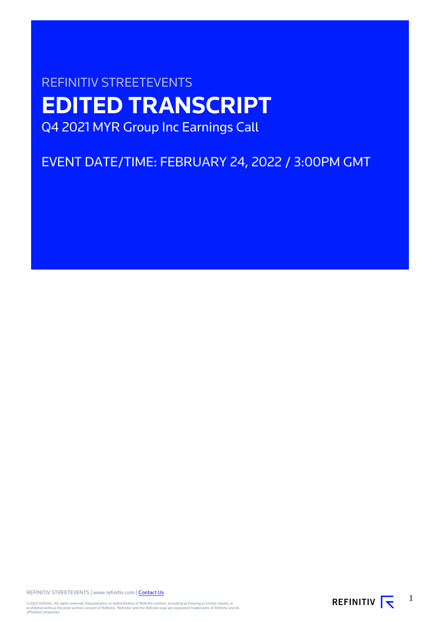# REFINITIV STREETEVENTS **EDITED TRANSCRIPT** Q4 2021 MYR Group Inc Earnings Call

EVENT DATE/TIME: FEBRUARY 24, 2022 / 3:00PM GMT

REFINITIV STREETEVENTS | www.refinitiv.com | [Contact Us](https://www.refinitiv.com/en/contact-us)

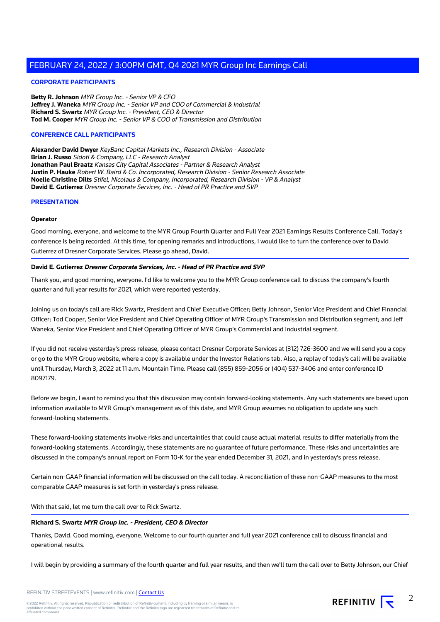# **CORPORATE PARTICIPANTS**

**Betty R. Johnson** MYR Group Inc. - Senior VP & CFO **Jeffrey J. Waneka** MYR Group Inc. - Senior VP and COO of Commercial & Industrial **Richard S. Swartz** MYR Group Inc. - President, CEO & Director **Tod M. Cooper** MYR Group Inc. - Senior VP & COO of Transmission and Distribution

#### **CONFERENCE CALL PARTICIPANTS**

**Alexander David Dwyer** KeyBanc Capital Markets Inc., Research Division - Associate **Brian J. Russo** Sidoti & Company, LLC - Research Analyst **Jonathan Paul Braatz** Kansas City Capital Associates - Partner & Research Analyst **Justin P. Hauke** Robert W. Baird & Co. Incorporated, Research Division - Senior Research Associate **Noelle Christine Dilts** Stifel, Nicolaus & Company, Incorporated, Research Division - VP & Analyst **David E. Gutierrez** Dresner Corporate Services, Inc. - Head of PR Practice and SVP

#### **PRESENTATION**

#### **Operator**

Good morning, everyone, and welcome to the MYR Group Fourth Quarter and Full Year 2021 Earnings Results Conference Call. Today's conference is being recorded. At this time, for opening remarks and introductions, I would like to turn the conference over to David Gutierrez of Dresner Corporate Services. Please go ahead, David.

#### **David E. Gutierrez Dresner Corporate Services, Inc. - Head of PR Practice and SVP**

Thank you, and good morning, everyone. I'd like to welcome you to the MYR Group conference call to discuss the company's fourth quarter and full year results for 2021, which were reported yesterday.

Joining us on today's call are Rick Swartz, President and Chief Executive Officer; Betty Johnson, Senior Vice President and Chief Financial Officer; Tod Cooper, Senior Vice President and Chief Operating Officer of MYR Group's Transmission and Distribution segment; and Jeff Waneka, Senior Vice President and Chief Operating Officer of MYR Group's Commercial and Industrial segment.

If you did not receive yesterday's press release, please contact Dresner Corporate Services at (312) 726-3600 and we will send you a copy or go to the MYR Group website, where a copy is available under the Investor Relations tab. Also, a replay of today's call will be available until Thursday, March 3, 2022 at 11 a.m. Mountain Time. Please call (855) 859-2056 or (404) 537-3406 and enter conference ID 8097179.

Before we begin, I want to remind you that this discussion may contain forward-looking statements. Any such statements are based upon information available to MYR Group's management as of this date, and MYR Group assumes no obligation to update any such forward-looking statements.

These forward-looking statements involve risks and uncertainties that could cause actual material results to differ materially from the forward-looking statements. Accordingly, these statements are no guarantee of future performance. These risks and uncertainties are discussed in the company's annual report on Form 10-K for the year ended December 31, 2021, and in yesterday's press release.

Certain non-GAAP financial information will be discussed on the call today. A reconciliation of these non-GAAP measures to the most comparable GAAP measures is set forth in yesterday's press release.

With that said, let me turn the call over to Rick Swartz.

#### **Richard S. Swartz MYR Group Inc. - President, CEO & Director**

Thanks, David. Good morning, everyone. Welcome to our fourth quarter and full year 2021 conference call to discuss financial and operational results.

I will begin by providing a summary of the fourth quarter and full year results, and then we'll turn the call over to Betty Johnson, our Chief

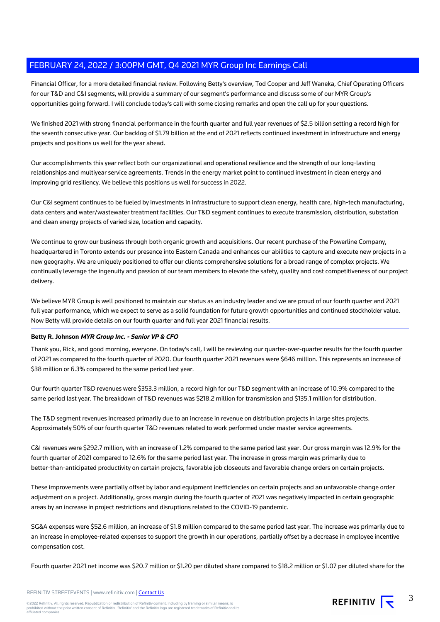Financial Officer, for a more detailed financial review. Following Betty's overview, Tod Cooper and Jeff Waneka, Chief Operating Officers for our T&D and C&I segments, will provide a summary of our segment's performance and discuss some of our MYR Group's opportunities going forward. I will conclude today's call with some closing remarks and open the call up for your questions.

We finished 2021 with strong financial performance in the fourth quarter and full year revenues of \$2.5 billion setting a record high for the seventh consecutive year. Our backlog of \$1.79 billion at the end of 2021 reflects continued investment in infrastructure and energy projects and positions us well for the year ahead.

Our accomplishments this year reflect both our organizational and operational resilience and the strength of our long-lasting relationships and multiyear service agreements. Trends in the energy market point to continued investment in clean energy and improving grid resiliency. We believe this positions us well for success in 2022.

Our C&I segment continues to be fueled by investments in infrastructure to support clean energy, health care, high-tech manufacturing, data centers and water/wastewater treatment facilities. Our T&D segment continues to execute transmission, distribution, substation and clean energy projects of varied size, location and capacity.

We continue to grow our business through both organic growth and acquisitions. Our recent purchase of the Powerline Company, headquartered in Toronto extends our presence into Eastern Canada and enhances our abilities to capture and execute new projects in a new geography. We are uniquely positioned to offer our clients comprehensive solutions for a broad range of complex projects. We continually leverage the ingenuity and passion of our team members to elevate the safety, quality and cost competitiveness of our project delivery.

We believe MYR Group is well positioned to maintain our status as an industry leader and we are proud of our fourth quarter and 2021 full year performance, which we expect to serve as a solid foundation for future growth opportunities and continued stockholder value. Now Betty will provide details on our fourth quarter and full year 2021 financial results.

# **Betty R. Johnson MYR Group Inc. - Senior VP & CFO**

Thank you, Rick, and good morning, everyone. On today's call, I will be reviewing our quarter-over-quarter results for the fourth quarter of 2021 as compared to the fourth quarter of 2020. Our fourth quarter 2021 revenues were \$646 million. This represents an increase of \$38 million or 6.3% compared to the same period last year.

Our fourth quarter T&D revenues were \$353.3 million, a record high for our T&D segment with an increase of 10.9% compared to the same period last year. The breakdown of T&D revenues was \$218.2 million for transmission and \$135.1 million for distribution.

The T&D segment revenues increased primarily due to an increase in revenue on distribution projects in large sites projects. Approximately 50% of our fourth quarter T&D revenues related to work performed under master service agreements.

C&I revenues were \$292.7 million, with an increase of 1.2% compared to the same period last year. Our gross margin was 12.9% for the fourth quarter of 2021 compared to 12.6% for the same period last year. The increase in gross margin was primarily due to better-than-anticipated productivity on certain projects, favorable job closeouts and favorable change orders on certain projects.

These improvements were partially offset by labor and equipment inefficiencies on certain projects and an unfavorable change order adjustment on a project. Additionally, gross margin during the fourth quarter of 2021 was negatively impacted in certain geographic areas by an increase in project restrictions and disruptions related to the COVID-19 pandemic.

SG&A expenses were \$52.6 million, an increase of \$1.8 million compared to the same period last year. The increase was primarily due to an increase in employee-related expenses to support the growth in our operations, partially offset by a decrease in employee incentive compensation cost.

Fourth quarter 2021 net income was \$20.7 million or \$1.20 per diluted share compared to \$18.2 million or \$1.07 per diluted share for the

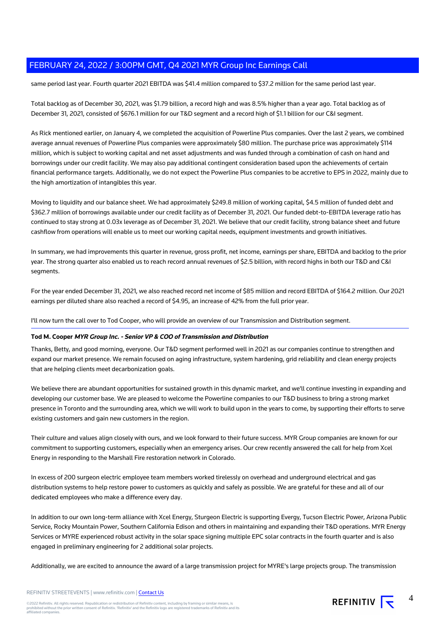same period last year. Fourth quarter 2021 EBITDA was \$41.4 million compared to \$37.2 million for the same period last year.

Total backlog as of December 30, 2021, was \$1.79 billion, a record high and was 8.5% higher than a year ago. Total backlog as of December 31, 2021, consisted of \$676.1 million for our T&D segment and a record high of \$1.1 billion for our C&I segment.

As Rick mentioned earlier, on January 4, we completed the acquisition of Powerline Plus companies. Over the last 2 years, we combined average annual revenues of Powerline Plus companies were approximately \$80 million. The purchase price was approximately \$114 million, which is subject to working capital and net asset adjustments and was funded through a combination of cash on hand and borrowings under our credit facility. We may also pay additional contingent consideration based upon the achievements of certain financial performance targets. Additionally, we do not expect the Powerline Plus companies to be accretive to EPS in 2022, mainly due to the high amortization of intangibles this year.

Moving to liquidity and our balance sheet. We had approximately \$249.8 million of working capital, \$4.5 million of funded debt and \$362.7 million of borrowings available under our credit facility as of December 31, 2021. Our funded debt-to-EBITDA leverage ratio has continued to stay strong at 0.03x leverage as of December 31, 2021. We believe that our credit facility, strong balance sheet and future cashflow from operations will enable us to meet our working capital needs, equipment investments and growth initiatives.

In summary, we had improvements this quarter in revenue, gross profit, net income, earnings per share, EBITDA and backlog to the prior year. The strong quarter also enabled us to reach record annual revenues of \$2.5 billion, with record highs in both our T&D and C&I segments.

For the year ended December 31, 2021, we also reached record net income of \$85 million and record EBITDA of \$164.2 million. Our 2021 earnings per diluted share also reached a record of \$4.95, an increase of 42% from the full prior year.

I'll now turn the call over to Tod Cooper, who will provide an overview of our Transmission and Distribution segment.

# **Tod M. Cooper MYR Group Inc. - Senior VP & COO of Transmission and Distribution**

Thanks, Betty, and good morning, everyone. Our T&D segment performed well in 2021 as our companies continue to strengthen and expand our market presence. We remain focused on aging infrastructure, system hardening, grid reliability and clean energy projects that are helping clients meet decarbonization goals.

We believe there are abundant opportunities for sustained growth in this dynamic market, and we'll continue investing in expanding and developing our customer base. We are pleased to welcome the Powerline companies to our T&D business to bring a strong market presence in Toronto and the surrounding area, which we will work to build upon in the years to come, by supporting their efforts to serve existing customers and gain new customers in the region.

Their culture and values align closely with ours, and we look forward to their future success. MYR Group companies are known for our commitment to supporting customers, especially when an emergency arises. Our crew recently answered the call for help from Xcel Energy in responding to the Marshall Fire restoration network in Colorado.

In excess of 200 surgeon electric employee team members worked tirelessly on overhead and underground electrical and gas distribution systems to help restore power to customers as quickly and safely as possible. We are grateful for these and all of our dedicated employees who make a difference every day.

In addition to our own long-term alliance with Xcel Energy, Sturgeon Electric is supporting Evergy, Tucson Electric Power, Arizona Public Service, Rocky Mountain Power, Southern California Edison and others in maintaining and expanding their T&D operations. MYR Energy Services or MYRE experienced robust activity in the solar space signing multiple EPC solar contracts in the fourth quarter and is also engaged in preliminary engineering for 2 additional solar projects.

Additionally, we are excited to announce the award of a large transmission project for MYRE's large projects group. The transmission

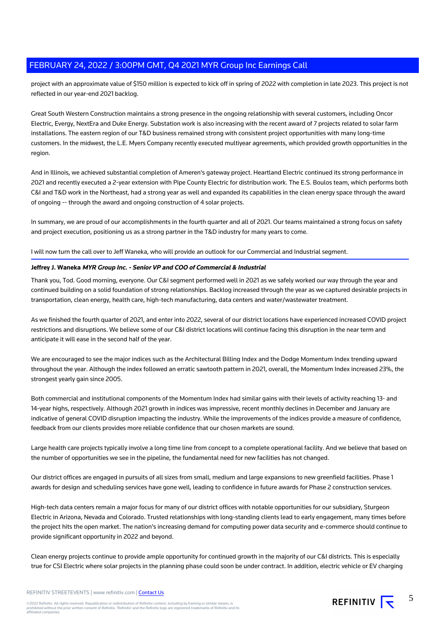project with an approximate value of \$150 million is expected to kick off in spring of 2022 with completion in late 2023. This project is not reflected in our year-end 2021 backlog.

Great South Western Construction maintains a strong presence in the ongoing relationship with several customers, including Oncor Electric, Evergy, NextEra and Duke Energy. Substation work is also increasing with the recent award of 7 projects related to solar farm installations. The eastern region of our T&D business remained strong with consistent project opportunities with many long-time customers. In the midwest, the L.E. Myers Company recently executed multiyear agreements, which provided growth opportunities in the region.

And in Illinois, we achieved substantial completion of Ameren's gateway project. Heartland Electric continued its strong performance in 2021 and recently executed a 2-year extension with Pipe County Electric for distribution work. The E.S. Boulos team, which performs both C&I and T&D work in the Northeast, had a strong year as well and expanded its capabilities in the clean energy space through the award of ongoing -- through the award and ongoing construction of 4 solar projects.

In summary, we are proud of our accomplishments in the fourth quarter and all of 2021. Our teams maintained a strong focus on safety and project execution, positioning us as a strong partner in the T&D industry for many years to come.

I will now turn the call over to Jeff Waneka, who will provide an outlook for our Commercial and Industrial segment.

# **Jeffrey J. Waneka MYR Group Inc. - Senior VP and COO of Commercial & Industrial**

Thank you, Tod. Good morning, everyone. Our C&I segment performed well in 2021 as we safely worked our way through the year and continued building on a solid foundation of strong relationships. Backlog increased through the year as we captured desirable projects in transportation, clean energy, health care, high-tech manufacturing, data centers and water/wastewater treatment.

As we finished the fourth quarter of 2021, and enter into 2022, several of our district locations have experienced increased COVID project restrictions and disruptions. We believe some of our C&I district locations will continue facing this disruption in the near term and anticipate it will ease in the second half of the year.

We are encouraged to see the major indices such as the Architectural Billing Index and the Dodge Momentum Index trending upward throughout the year. Although the index followed an erratic sawtooth pattern in 2021, overall, the Momentum Index increased 23%, the strongest yearly gain since 2005.

Both commercial and institutional components of the Momentum Index had similar gains with their levels of activity reaching 13- and 14-year highs, respectively. Although 2021 growth in indices was impressive, recent monthly declines in December and January are indicative of general COVID disruption impacting the industry. While the improvements of the indices provide a measure of confidence, feedback from our clients provides more reliable confidence that our chosen markets are sound.

Large health care projects typically involve a long time line from concept to a complete operational facility. And we believe that based on the number of opportunities we see in the pipeline, the fundamental need for new facilities has not changed.

Our district offices are engaged in pursuits of all sizes from small, medium and large expansions to new greenfield facilities. Phase 1 awards for design and scheduling services have gone well, leading to confidence in future awards for Phase 2 construction services.

High-tech data centers remain a major focus for many of our district offices with notable opportunities for our subsidiary, Sturgeon Electric in Arizona, Nevada and Colorado. Trusted relationships with long-standing clients lead to early engagement, many times before the project hits the open market. The nation's increasing demand for computing power data security and e-commerce should continue to provide significant opportunity in 2022 and beyond.

Clean energy projects continue to provide ample opportunity for continued growth in the majority of our C&I districts. This is especially true for CSI Electric where solar projects in the planning phase could soon be under contract. In addition, electric vehicle or EV charging

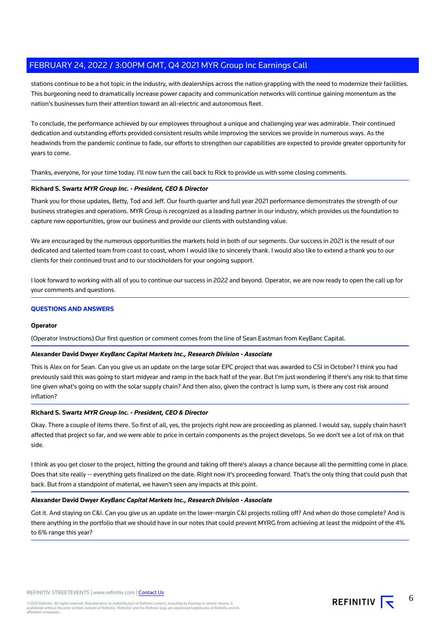stations continue to be a hot topic in the industry, with dealerships across the nation grappling with the need to modernize their facilities. This burgeoning need to dramatically increase power capacity and communication networks will continue gaining momentum as the nation's businesses turn their attention toward an all-electric and autonomous fleet.

To conclude, the performance achieved by our employees throughout a unique and challenging year was admirable. Their continued dedication and outstanding efforts provided consistent results while improving the services we provide in numerous ways. As the headwinds from the pandemic continue to fade, our efforts to strengthen our capabilities are expected to provide greater opportunity for years to come.

Thanks, everyone, for your time today. I'll now turn the call back to Rick to provide us with some closing comments.

# **Richard S. Swartz MYR Group Inc. - President, CEO & Director**

Thank you for those updates, Betty, Tod and Jeff. Our fourth quarter and full year 2021 performance demonstrates the strength of our business strategies and operations. MYR Group is recognized as a leading partner in our industry, which provides us the foundation to capture new opportunities, grow our business and provide our clients with outstanding value.

We are encouraged by the numerous opportunities the markets hold in both of our segments. Our success in 2021 is the result of our dedicated and talented team from coast to coast, whom I would like to sincerely thank. I would also like to extend a thank you to our clients for their continued trust and to our stockholders for your ongoing support.

I look forward to working with all of you to continue our success in 2022 and beyond. Operator, we are now ready to open the call up for your comments and questions.

# **QUESTIONS AND ANSWERS**

#### **Operator**

(Operator Instructions) Our first question or comment comes from the line of Sean Eastman from KeyBanc Capital.

#### **Alexander David Dwyer KeyBanc Capital Markets Inc., Research Division - Associate**

This is Alex on for Sean. Can you give us an update on the large solar EPC project that was awarded to CSI in October? I think you had previously said this was going to start midyear and ramp in the back half of the year. But I'm just wondering if there's any risk to that time line given what's going on with the solar supply chain? And then also, given the contract is lump sum, is there any cost risk around inflation?

# **Richard S. Swartz MYR Group Inc. - President, CEO & Director**

Okay. There a couple of items there. So first of all, yes, the projects right now are proceeding as planned. I would say, supply chain hasn't affected that project so far, and we were able to price in certain components as the project develops. So we don't see a lot of risk on that side.

I think as you get closer to the project, hitting the ground and taking off there's always a chance because all the permitting come in place. Does that site really -- everything gets finalized on the date. Right now it's proceeding forward. That's the only thing that could push that back. But from a standpoint of material, we haven't seen any impacts at this point.

#### **Alexander David Dwyer KeyBanc Capital Markets Inc., Research Division - Associate**

Got it. And staying on C&I. Can you give us an update on the lower-margin C&I projects rolling off? And when do those complete? And is there anything in the portfolio that we should have in our notes that could prevent MYRG from achieving at least the midpoint of the 4% to 6% range this year?



6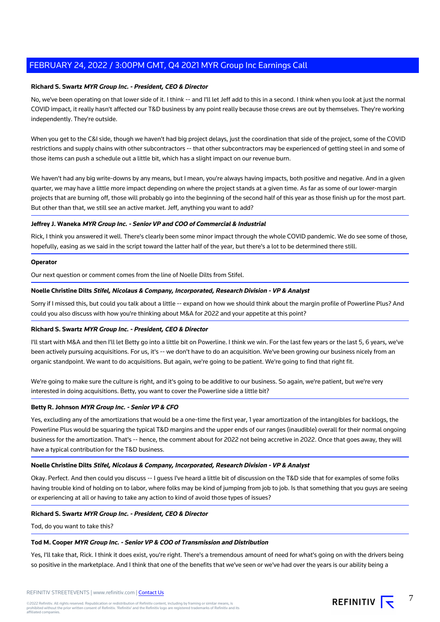# **Richard S. Swartz MYR Group Inc. - President, CEO & Director**

No, we've been operating on that lower side of it. I think -- and I'll let Jeff add to this in a second. I think when you look at just the normal COVID impact, it really hasn't affected our T&D business by any point really because those crews are out by themselves. They're working independently. They're outside.

When you get to the C&I side, though we haven't had big project delays, just the coordination that side of the project, some of the COVID restrictions and supply chains with other subcontractors -- that other subcontractors may be experienced of getting steel in and some of those items can push a schedule out a little bit, which has a slight impact on our revenue burn.

We haven't had any big write-downs by any means, but I mean, you're always having impacts, both positive and negative. And in a given quarter, we may have a little more impact depending on where the project stands at a given time. As far as some of our lower-margin projects that are burning off, those will probably go into the beginning of the second half of this year as those finish up for the most part. But other than that, we still see an active market. Jeff, anything you want to add?

#### **Jeffrey J. Waneka MYR Group Inc. - Senior VP and COO of Commercial & Industrial**

Rick, I think you answered it well. There's clearly been some minor impact through the whole COVID pandemic. We do see some of those, hopefully, easing as we said in the script toward the latter half of the year, but there's a lot to be determined there still.

#### **Operator**

Our next question or comment comes from the line of Noelle Dilts from Stifel.

# **Noelle Christine Dilts Stifel, Nicolaus & Company, Incorporated, Research Division - VP & Analyst**

Sorry if I missed this, but could you talk about a little -- expand on how we should think about the margin profile of Powerline Plus? And could you also discuss with how you're thinking about M&A for 2022 and your appetite at this point?

# **Richard S. Swartz MYR Group Inc. - President, CEO & Director**

I'll start with M&A and then I'll let Betty go into a little bit on Powerline. I think we win. For the last few years or the last 5, 6 years, we've been actively pursuing acquisitions. For us, it's -- we don't have to do an acquisition. We've been growing our business nicely from an organic standpoint. We want to do acquisitions. But again, we're going to be patient. We're going to find that right fit.

We're going to make sure the culture is right, and it's going to be additive to our business. So again, we're patient, but we're very interested in doing acquisitions. Betty, you want to cover the Powerline side a little bit?

# **Betty R. Johnson MYR Group Inc. - Senior VP & CFO**

Yes, excluding any of the amortizations that would be a one-time the first year, 1 year amortization of the intangibles for backlogs, the Powerline Plus would be squaring the typical T&D margins and the upper ends of our ranges (inaudible) overall for their normal ongoing business for the amortization. That's -- hence, the comment about for 2022 not being accretive in 2022. Once that goes away, they will have a typical contribution for the T&D business.

# **Noelle Christine Dilts Stifel, Nicolaus & Company, Incorporated, Research Division - VP & Analyst**

Okay. Perfect. And then could you discuss -- I guess I've heard a little bit of discussion on the T&D side that for examples of some folks having trouble kind of holding on to labor, where folks may be kind of jumping from job to job. Is that something that you guys are seeing or experiencing at all or having to take any action to kind of avoid those types of issues?

#### **Richard S. Swartz MYR Group Inc. - President, CEO & Director**

Tod, do you want to take this?

#### **Tod M. Cooper MYR Group Inc. - Senior VP & COO of Transmission and Distribution**

Yes, I'll take that, Rick. I think it does exist, you're right. There's a tremendous amount of need for what's going on with the drivers being so positive in the marketplace. And I think that one of the benefits that we've seen or we've had over the years is our ability being a

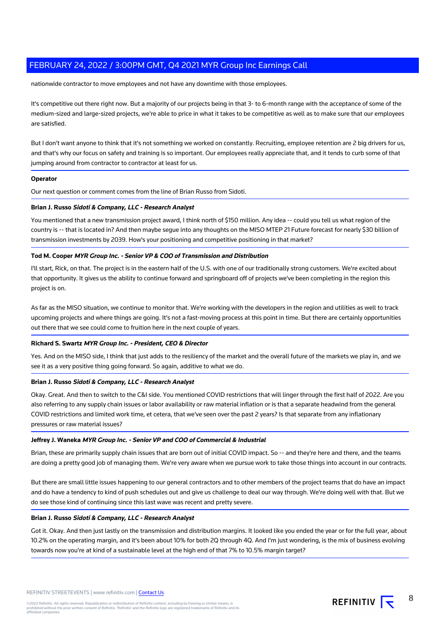nationwide contractor to move employees and not have any downtime with those employees.

It's competitive out there right now. But a majority of our projects being in that 3- to 6-month range with the acceptance of some of the medium-sized and large-sized projects, we're able to price in what it takes to be competitive as well as to make sure that our employees are satisfied.

But I don't want anyone to think that it's not something we worked on constantly. Recruiting, employee retention are 2 big drivers for us, and that's why our focus on safety and training is so important. Our employees really appreciate that, and it tends to curb some of that jumping around from contractor to contractor at least for us.

#### **Operator**

Our next question or comment comes from the line of Brian Russo from Sidoti.

# **Brian J. Russo Sidoti & Company, LLC - Research Analyst**

You mentioned that a new transmission project award, I think north of \$150 million. Any idea -- could you tell us what region of the country is -- that is located in? And then maybe segue into any thoughts on the MISO MTEP 21 Future forecast for nearly \$30 billion of transmission investments by 2039. How's your positioning and competitive positioning in that market?

# **Tod M. Cooper MYR Group Inc. - Senior VP & COO of Transmission and Distribution**

I'll start, Rick, on that. The project is in the eastern half of the U.S. with one of our traditionally strong customers. We're excited about that opportunity. It gives us the ability to continue forward and springboard off of projects we've been completing in the region this project is on.

As far as the MISO situation, we continue to monitor that. We're working with the developers in the region and utilities as well to track upcoming projects and where things are going. It's not a fast-moving process at this point in time. But there are certainly opportunities out there that we see could come to fruition here in the next couple of years.

# **Richard S. Swartz MYR Group Inc. - President, CEO & Director**

Yes. And on the MISO side, I think that just adds to the resiliency of the market and the overall future of the markets we play in, and we see it as a very positive thing going forward. So again, additive to what we do.

# **Brian J. Russo Sidoti & Company, LLC - Research Analyst**

Okay. Great. And then to switch to the C&I side. You mentioned COVID restrictions that will linger through the first half of 2022. Are you also referring to any supply chain issues or labor availability or raw material inflation or is that a separate headwind from the general COVID restrictions and limited work time, et cetera, that we've seen over the past 2 years? Is that separate from any inflationary pressures or raw material issues?

# **Jeffrey J. Waneka MYR Group Inc. - Senior VP and COO of Commercial & Industrial**

Brian, these are primarily supply chain issues that are born out of initial COVID impact. So -- and they're here and there, and the teams are doing a pretty good job of managing them. We're very aware when we pursue work to take those things into account in our contracts.

But there are small little issues happening to our general contractors and to other members of the project teams that do have an impact and do have a tendency to kind of push schedules out and give us challenge to deal our way through. We're doing well with that. But we do see those kind of continuing since this last wave was recent and pretty severe.

#### **Brian J. Russo Sidoti & Company, LLC - Research Analyst**

Got it. Okay. And then just lastly on the transmission and distribution margins. It looked like you ended the year or for the full year, about 10.2% on the operating margin, and it's been about 10% for both 2Q through 4Q. And I'm just wondering, is the mix of business evolving towards now you're at kind of a sustainable level at the high end of that 7% to 10.5% margin target?



8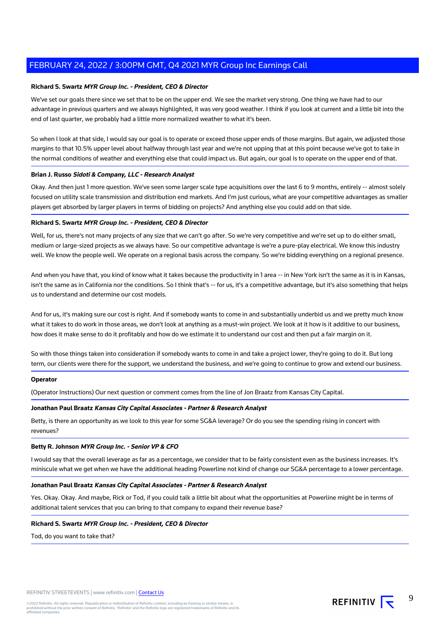#### **Richard S. Swartz MYR Group Inc. - President, CEO & Director**

We've set our goals there since we set that to be on the upper end. We see the market very strong. One thing we have had to our advantage in previous quarters and we always highlighted, it was very good weather. I think if you look at current and a little bit into the end of last quarter, we probably had a little more normalized weather to what it's been.

So when I look at that side, I would say our goal is to operate or exceed those upper ends of those margins. But again, we adjusted those margins to that 10.5% upper level about halfway through last year and we're not upping that at this point because we've got to take in the normal conditions of weather and everything else that could impact us. But again, our goal is to operate on the upper end of that.

#### **Brian J. Russo Sidoti & Company, LLC - Research Analyst**

Okay. And then just 1 more question. We've seen some larger scale type acquisitions over the last 6 to 9 months, entirely -- almost solely focused on utility scale transmission and distribution end markets. And I'm just curious, what are your competitive advantages as smaller players get absorbed by larger players in terms of bidding on projects? And anything else you could add on that side.

#### **Richard S. Swartz MYR Group Inc. - President, CEO & Director**

Well, for us, there's not many projects of any size that we can't go after. So we're very competitive and we're set up to do either small, medium or large-sized projects as we always have. So our competitive advantage is we're a pure-play electrical. We know this industry well. We know the people well. We operate on a regional basis across the company. So we're bidding everything on a regional presence.

And when you have that, you kind of know what it takes because the productivity in 1 area -- in New York isn't the same as it is in Kansas, isn't the same as in California nor the conditions. So I think that's -- for us, it's a competitive advantage, but it's also something that helps us to understand and determine our cost models.

And for us, it's making sure our cost is right. And if somebody wants to come in and substantially underbid us and we pretty much know what it takes to do work in those areas, we don't look at anything as a must-win project. We look at it how is it additive to our business, how does it make sense to do it profitably and how do we estimate it to understand our cost and then put a fair margin on it.

So with those things taken into consideration if somebody wants to come in and take a project lower, they're going to do it. But long term, our clients were there for the support, we understand the business, and we're going to continue to grow and extend our business.

#### **Operator**

(Operator Instructions) Our next question or comment comes from the line of Jon Braatz from Kansas City Capital.

#### **Jonathan Paul Braatz Kansas City Capital Associates - Partner & Research Analyst**

Betty, is there an opportunity as we look to this year for some SG&A leverage? Or do you see the spending rising in concert with revenues?

#### **Betty R. Johnson MYR Group Inc. - Senior VP & CFO**

I would say that the overall leverage as far as a percentage, we consider that to be fairly consistent even as the business increases. It's miniscule what we get when we have the additional heading Powerline not kind of change our SG&A percentage to a lower percentage.

#### **Jonathan Paul Braatz Kansas City Capital Associates - Partner & Research Analyst**

Yes. Okay. Okay. And maybe, Rick or Tod, if you could talk a little bit about what the opportunities at Powerline might be in terms of additional talent services that you can bring to that company to expand their revenue base?

# **Richard S. Swartz MYR Group Inc. - President, CEO & Director**

Tod, do you want to take that?



9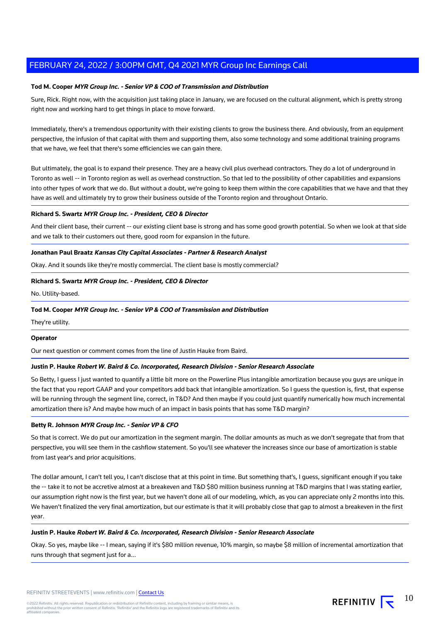# **Tod M. Cooper MYR Group Inc. - Senior VP & COO of Transmission and Distribution**

Sure, Rick. Right now, with the acquisition just taking place in January, we are focused on the cultural alignment, which is pretty strong right now and working hard to get things in place to move forward.

Immediately, there's a tremendous opportunity with their existing clients to grow the business there. And obviously, from an equipment perspective, the infusion of that capital with them and supporting them, also some technology and some additional training programs that we have, we feel that there's some efficiencies we can gain there.

But ultimately, the goal is to expand their presence. They are a heavy civil plus overhead contractors. They do a lot of underground in Toronto as well -- in Toronto region as well as overhead construction. So that led to the possibility of other capabilities and expansions into other types of work that we do. But without a doubt, we're going to keep them within the core capabilities that we have and that they have as well and ultimately try to grow their business outside of the Toronto region and throughout Ontario.

# **Richard S. Swartz MYR Group Inc. - President, CEO & Director**

And their client base, their current -- our existing client base is strong and has some good growth potential. So when we look at that side and we talk to their customers out there, good room for expansion in the future.

# **Jonathan Paul Braatz Kansas City Capital Associates - Partner & Research Analyst**

Okay. And it sounds like they're mostly commercial. The client base is mostly commercial?

# **Richard S. Swartz MYR Group Inc. - President, CEO & Director**

No. Utility-based.

# **Tod M. Cooper MYR Group Inc. - Senior VP & COO of Transmission and Distribution**

They're utility.

# **Operator**

Our next question or comment comes from the line of Justin Hauke from Baird.

# **Justin P. Hauke Robert W. Baird & Co. Incorporated, Research Division - Senior Research Associate**

So Betty, I guess I just wanted to quantify a little bit more on the Powerline Plus intangible amortization because you guys are unique in the fact that you report GAAP and your competitors add back that intangible amortization. So I guess the question is, first, that expense will be running through the segment line, correct, in T&D? And then maybe if you could just quantify numerically how much incremental amortization there is? And maybe how much of an impact in basis points that has some T&D margin?

# **Betty R. Johnson MYR Group Inc. - Senior VP & CFO**

So that is correct. We do put our amortization in the segment margin. The dollar amounts as much as we don't segregate that from that perspective, you will see them in the cashflow statement. So you'll see whatever the increases since our base of amortization is stable from last year's and prior acquisitions.

The dollar amount, I can't tell you, I can't disclose that at this point in time. But something that's, I guess, significant enough if you take the -- take it to not be accretive almost at a breakeven and T&D \$80 million business running at T&D margins that I was stating earlier, our assumption right now is the first year, but we haven't done all of our modeling, which, as you can appreciate only 2 months into this. We haven't finalized the very final amortization, but our estimate is that it will probably close that gap to almost a breakeven in the first year.

# **Justin P. Hauke Robert W. Baird & Co. Incorporated, Research Division - Senior Research Associate**

Okay. So yes, maybe like -- I mean, saying if it's \$80 million revenue, 10% margin, so maybe \$8 million of incremental amortization that runs through that segment just for a...